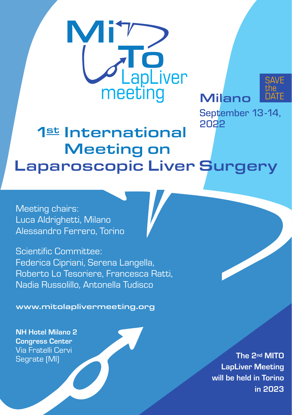

Milano

SAVE the DATE

September 13-14, 2022

## 1st International Meeting on Laparoscopic Liver Surgery

Meeting chairs: Luca Aldrighetti, Milano Alessandro Ferrero, Torino

Scientific Committee: Federica Cipriani, Serena Langella, Roberto Lo Tesoriere, Francesca Ratti, Nadia Russolillo, Antonella Tudisco

www.mitolaplivermeeting.org

NH Hotel Milano 2 Congress Center Via Fratelli Cervi Segrate (MI)

The 2nd MITO LapLiver Meeting will be held in Torino in 2023